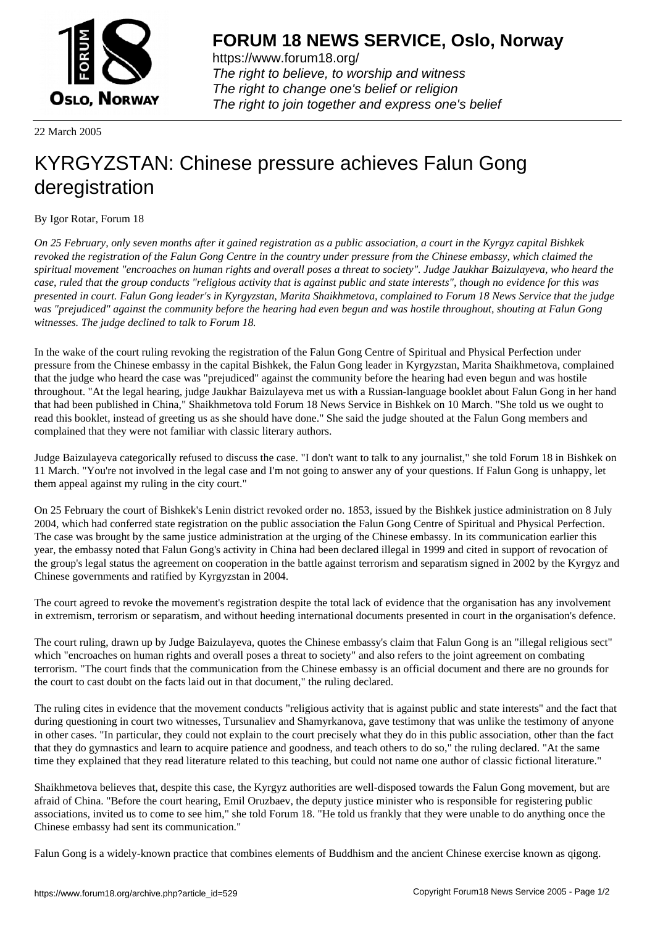

https://www.forum18.org/ The right to believe, to worship and witness The right to change one's belief or religion [The right to join together a](https://www.forum18.org/)nd express one's belief

22 March 2005

## [KYRGYZSTAN](https://www.forum18.org): Chinese pressure achieves Falun Gong deregistration

By Igor Rotar, Forum 18

*On 25 February, only seven months after it gained registration as a public association, a court in the Kyrgyz capital Bishkek revoked the registration of the Falun Gong Centre in the country under pressure from the Chinese embassy, which claimed the spiritual movement "encroaches on human rights and overall poses a threat to society". Judge Jaukhar Baizulayeva, who heard the case, ruled that the group conducts "religious activity that is against public and state interests", though no evidence for this was presented in court. Falun Gong leader's in Kyrgyzstan, Marita Shaikhmetova, complained to Forum 18 News Service that the judge was "prejudiced" against the community before the hearing had even begun and was hostile throughout, shouting at Falun Gong witnesses. The judge declined to talk to Forum 18.*

In the wake of the court ruling revoking the registration of the Falun Gong Centre of Spiritual and Physical Perfection under pressure from the Chinese embassy in the capital Bishkek, the Falun Gong leader in Kyrgyzstan, Marita Shaikhmetova, complained that the judge who heard the case was "prejudiced" against the community before the hearing had even begun and was hostile throughout. "At the legal hearing, judge Jaukhar Baizulayeva met us with a Russian-language booklet about Falun Gong in her hand that had been published in China," Shaikhmetova told Forum 18 News Service in Bishkek on 10 March. "She told us we ought to read this booklet, instead of greeting us as she should have done." She said the judge shouted at the Falun Gong members and complained that they were not familiar with classic literary authors.

Judge Baizulayeva categorically refused to discuss the case. "I don't want to talk to any journalist," she told Forum 18 in Bishkek on 11 March. "You're not involved in the legal case and I'm not going to answer any of your questions. If Falun Gong is unhappy, let them appeal against my ruling in the city court."

On 25 February the court of Bishkek's Lenin district revoked order no. 1853, issued by the Bishkek justice administration on 8 July 2004, which had conferred state registration on the public association the Falun Gong Centre of Spiritual and Physical Perfection. The case was brought by the same justice administration at the urging of the Chinese embassy. In its communication earlier this year, the embassy noted that Falun Gong's activity in China had been declared illegal in 1999 and cited in support of revocation of the group's legal status the agreement on cooperation in the battle against terrorism and separatism signed in 2002 by the Kyrgyz and Chinese governments and ratified by Kyrgyzstan in 2004.

The court agreed to revoke the movement's registration despite the total lack of evidence that the organisation has any involvement in extremism, terrorism or separatism, and without heeding international documents presented in court in the organisation's defence.

The court ruling, drawn up by Judge Baizulayeva, quotes the Chinese embassy's claim that Falun Gong is an "illegal religious sect" which "encroaches on human rights and overall poses a threat to society" and also refers to the joint agreement on combating terrorism. "The court finds that the communication from the Chinese embassy is an official document and there are no grounds for the court to cast doubt on the facts laid out in that document," the ruling declared.

The ruling cites in evidence that the movement conducts "religious activity that is against public and state interests" and the fact that during questioning in court two witnesses, Tursunaliev and Shamyrkanova, gave testimony that was unlike the testimony of anyone in other cases. "In particular, they could not explain to the court precisely what they do in this public association, other than the fact that they do gymnastics and learn to acquire patience and goodness, and teach others to do so," the ruling declared. "At the same time they explained that they read literature related to this teaching, but could not name one author of classic fictional literature."

Shaikhmetova believes that, despite this case, the Kyrgyz authorities are well-disposed towards the Falun Gong movement, but are afraid of China. "Before the court hearing, Emil Oruzbaev, the deputy justice minister who is responsible for registering public associations, invited us to come to see him," she told Forum 18. "He told us frankly that they were unable to do anything once the Chinese embassy had sent its communication."

Falun Gong is a widely-known practice that combines elements of Buddhism and the ancient Chinese exercise known as qigong.